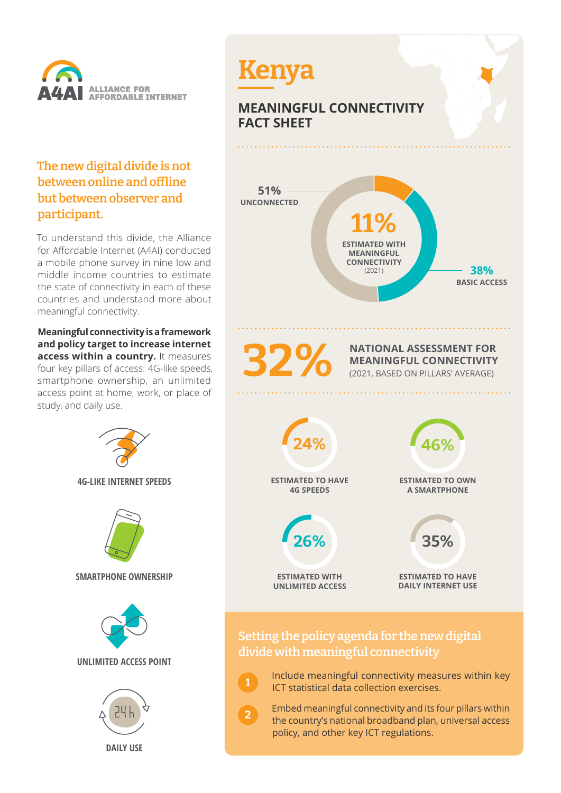

## **The new digital divide is not between online and offline but between observer and participant.**

To understand this divide, the Alliance for Affordable Internet (A4AI) conducted a mobile phone survey in nine low and middle income countries to estimate the state of connectivity in each of these countries and understand more about meaningful connectivity.

**Meaningful connectivity is a framework and policy target to increase internet access within a country.** It measures four key pillars of access: 4G-like speeds, smartphone ownership, an unlimited access point at home, work, or place of study, and daily use.





 Include meaningful connectivity measures within key ICT statistical data collection exercises.

**1**

**2**

 Embed meaningful connectivity and its four pillars within the country's national broadband plan, universal access policy, and other key ICT regulations.